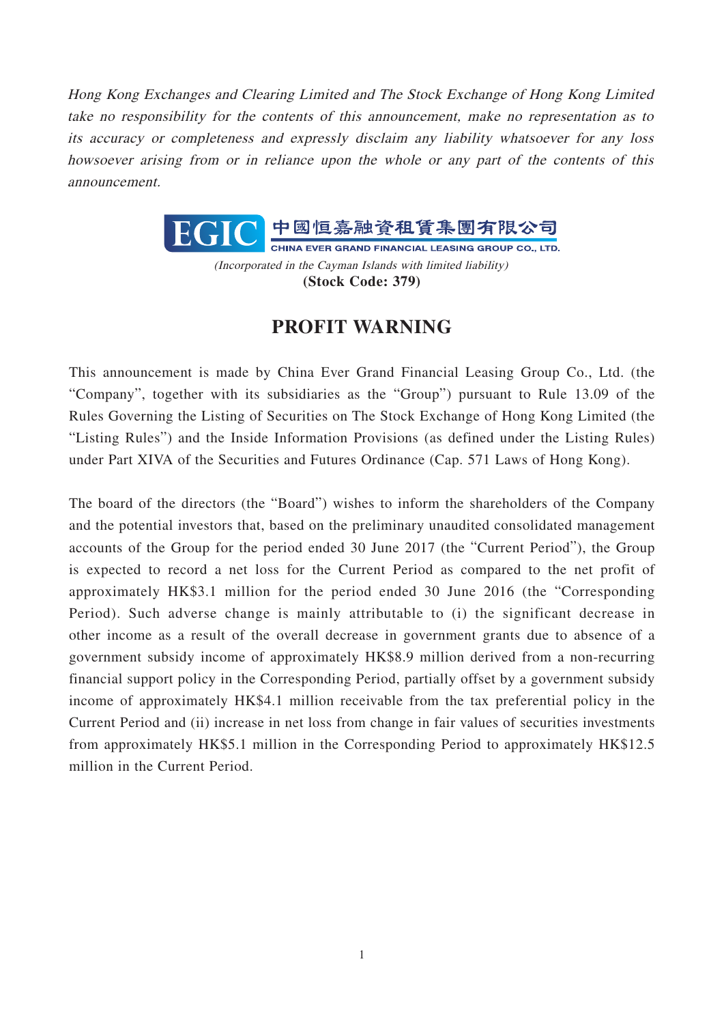Hong Kong Exchanges and Clearing Limited and The Stock Exchange of Hong Kong Limited take no responsibility for the contents of this announcement, make no representation as to its accuracy or completeness and expressly disclaim any liability whatsoever for any loss howsoever arising from or in reliance upon the whole or any part of the contents of this announcement.



(Incorporated in the Cayman Islands with limited liability) **(Stock Code: 379)**

## **PROFIT WARNING**

This announcement is made by China Ever Grand Financial Leasing Group Co., Ltd. (the "Company", together with its subsidiaries as the "Group") pursuant to Rule 13.09 of the Rules Governing the Listing of Securities on The Stock Exchange of Hong Kong Limited (the "Listing Rules") and the Inside Information Provisions (as defined under the Listing Rules) under Part XIVA of the Securities and Futures Ordinance (Cap. 571 Laws of Hong Kong).

The board of the directors (the "Board") wishes to inform the shareholders of the Company and the potential investors that, based on the preliminary unaudited consolidated management accounts of the Group for the period ended 30 June 2017 (the "Current Period"), the Group is expected to record a net loss for the Current Period as compared to the net profit of approximately HK\$3.1 million for the period ended 30 June 2016 (the "Corresponding Period). Such adverse change is mainly attributable to (i) the significant decrease in other income as a result of the overall decrease in government grants due to absence of a government subsidy income of approximately HK\$8.9 million derived from a non-recurring financial support policy in the Corresponding Period, partially offset by a government subsidy income of approximately HK\$4.1 million receivable from the tax preferential policy in the Current Period and (ii) increase in net loss from change in fair values of securities investments from approximately HK\$5.1 million in the Corresponding Period to approximately HK\$12.5 million in the Current Period.